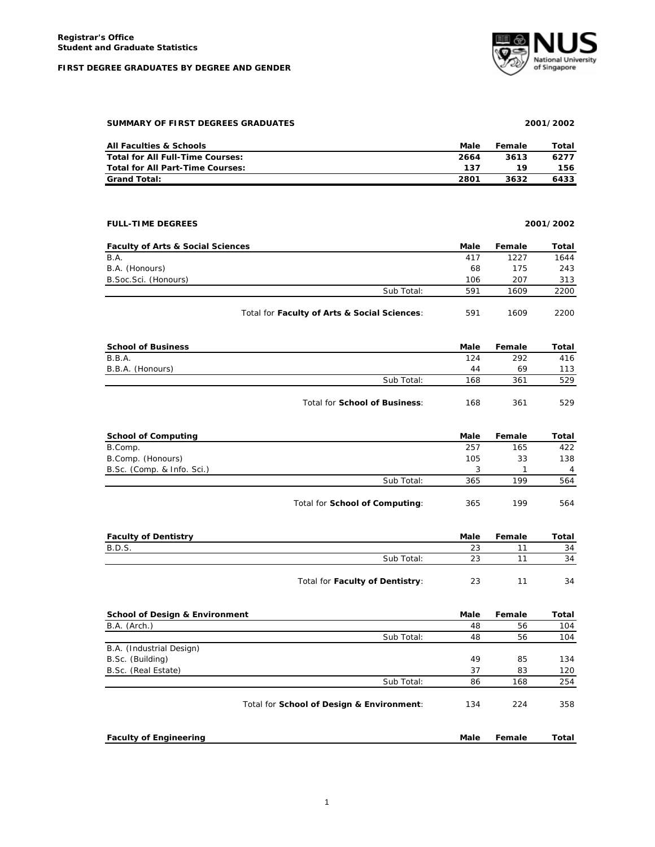# **FIRST DEGREE GRADUATES BY DEGREE AND GENDER**



### **SUMMARY OF FIRST DEGREES GRADUATES 2001/2002**

| <b>All Faculties &amp; Schools</b> | Male | Female | Total |
|------------------------------------|------|--------|-------|
| Total for All Full-Time Courses:   | 2664 | 3613   | 6277  |
| Total for All Part-Time Courses:   | 137  | 19     | 156   |
| <b>Grand Total:</b>                | 2801 | 3632   | 6433  |

# **FULL-TIME DEGREES 2001/2002**

| <b>Faculty of Arts &amp; Social Sciences</b> |                                              | Male | Female | Total |
|----------------------------------------------|----------------------------------------------|------|--------|-------|
| B.A.                                         |                                              | 417  | 1227   | 1644  |
| B.A. (Honours)                               |                                              | 68   | 175    | 243   |
| B. Soc. Sci. (Honours)                       |                                              | 106  | 207    | 313   |
|                                              | Sub Total:                                   | 591  | 1609   | 2200  |
|                                              | Total for Faculty of Arts & Social Sciences: | 591  | 1609   | 2200  |

| <b>School of Business</b> |                               | Male | Female | Total |
|---------------------------|-------------------------------|------|--------|-------|
| B.B.A.                    |                               | 124  | 292    | 416   |
| B.B.A. (Honours)          |                               | 44   | 69     | 113   |
|                           | Sub Total:                    | 168  | 361    | 529   |
|                           | Total for School of Business: | 168  | 361    | 529   |

| <b>School of Computing</b> |                                | Male | Female | Total          |
|----------------------------|--------------------------------|------|--------|----------------|
| B.Comp.                    |                                | 257  | 165    | 422            |
| B.Comp. (Honours)          |                                | 105  | 33     | 138            |
| B.Sc. (Comp. & Info. Sci.) |                                |      |        | $\overline{4}$ |
|                            | Sub Total:                     | 365  | 199    | 564            |
|                            | Total for School of Computing: | 365  | 199    | 564            |

| <b>Faculty of Dentistry</b> |                                 | Male | Female | Total |
|-----------------------------|---------------------------------|------|--------|-------|
| <b>B.D.S.</b>               |                                 | 23   |        | 34    |
|                             | Sub Total:                      | つつ   |        | 34    |
|                             | Total for Faculty of Dentistry: | 23   |        | 34    |

| <b>School of Design &amp; Environment</b> |                                           | Male | Female | Total |
|-------------------------------------------|-------------------------------------------|------|--------|-------|
| B.A. (Arch.)                              |                                           | 48   | 56     | 104   |
|                                           | Sub Total:                                | 48   | 56     | 104   |
| B.A. (Industrial Design)                  |                                           |      |        |       |
| B.Sc. (Building)                          |                                           | 49   | 85     | 134   |
| B.Sc. (Real Estate)                       |                                           | 37   | 83     | 120   |
|                                           | Sub Total:                                | 86   | 168    | 254   |
|                                           | Total for School of Design & Environment: | 134  | 224    | 358   |
| <b>Faculty of Engineering</b>             |                                           | Male | Female | Total |